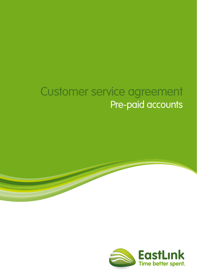# Customer service agreement Pre-paid accounts

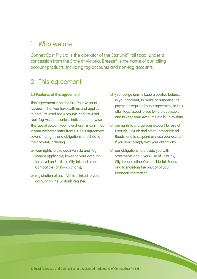# 1 Who we are

ConnectEast Pty Ltd is the operator of the EastLink® toll road, under a concession from the State of Victoria. Breeze® is the name of our tolling account products, including tag accounts and non-tag accounts.

# 2 This agreement

#### **2.1 Features of this agreement**

This agreement is for the Pre-Paid Account (**account**) that you have with us and applies to both Pre-Paid Tag Accounts and Pre-Paid Non-Tag Accounts unless indicated otherwise. The type of account you have chosen is confirmed in your welcome letter from us. This agreement covers the rights and obligations attached to the account, including:

- **a)** your rights to use each Vehicle and Tag (where applicable) linked to your account for travel on EastLink, CityLink and other Compatible Toll Roads (if any);
- **b)** registration of each Vehicle linked to your account on the EastLink Register;
- **c)** your obligations to keep a positive balance in your account, to make or authorise the payments required by this agreement, to look after Tags issued to you (where applicable) and to keep your Account Details up-to-date;
- **d)** our rights to charge your account for use of EastLink, CityLink and other Compatible Toll Roads, and to suspend or close your account if you don't comply with your obligations;
- **e)** our obligations to provide you with statements about your use of EastLink, CityLink and other Compatible Toll Roads and to maintain the privacy of your Personal Information.

® EastLink, Breeze and ConnectEast are registered trademarks of ConnectEast Pty Ltd.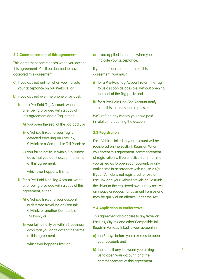#### **2.2 Commencement of this agreement**

This agreement commences when you accept this agreement. You'll be deemed to have accepted this agreement:

- **a)** If you applied online, when you indicate your acceptance on our Website; or
- **b)** if you applied over the phone or by post:
	- **i)** for a Pre-Paid Tag Account, when, after being provided with a copy of this agreement and a Tag, either:
		- **A)** you open the seal of the Tag pack; or
		- **B)** a Vehicle linked to your Tag is detected travelling on EastLink, CityLink or a Compatible Toll Road; or
		- **C)** you fail to notify us within 5 business days that you don't accept the terms of this agreement,

whichever happens first; or

- **ii)** for a Pre-Paid Non-Tag Account, when, after being provided with a copy of this agreement, either:
	- **A)** a Vehicle linked to your account is detected travelling on EastLink, CityLink, or another Compatible Toll Road; or
	- **B)** you fail to notify us within 5 business days that you don't accept the terms of this agreement,

whichever happens first; or

**c)** if you applied in person, when you indicate your acceptance.

If you don't accept the terms of this agreement, you must:

- **i)** for a Pre-Paid Tag Account return the Tag to us as soon as possible, without opening the seal of the Tag pack; and
- **ii)** for a Pre-Paid Non-Tag Account notify us of this fact as soon as possible.

We'll refund any money you have paid in relation to opening the account.

#### **2.3 Registration**

Each Vehicle linked to your account will be registered on the EastLink Register. When you accept this agreement, commencement of registration will be effective from the time you asked us to open your account, or any earlier time in accordance with clause 2.4(a). If your Vehicle is not registered for use on EastLink and your Vehicle travels on EastLink, the driver or the registered owner may receive an invoice or request for payment from us and may be guilty of an offence under the Act.

#### **2.4 Application to earlier travel**

This agreement also applies to any travel on EastLink, CityLink and other Compatible Toll Roads in Vehicles linked to your account in:

- **a)** the 3 days before you asked us to open your account; and
- **b)** the time, if any, between you asking us to open your account, and the commencement of this agreement.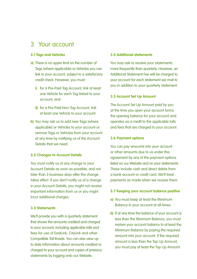# 3 Your account

#### **3.1 Tags and Vehicles**

- **a)** There is no upper limit on the number of Tags (where applicable) or Vehicles you can link to your account, subject to a satisfactory credit check. However, you must:
	- **i)** for a Pre-Paid Tag Account, link at least one Vehicle for each Tag linked to your account; and
	- **ii)** for a Pre-Paid Non-Tag Account, link at least one Vehicle to your account.
- **b)** You may ask us to add new Tags (where applicable) or Vehicles to your account or remove Tags or Vehicles from your account at any time by notifying us of the Account Details that we need.

#### **3.2 Changes to Account Details**

You must notify us of any change to your Account Details as soon as possible, and not later than 3 business days after the change takes effect. If you don't notify us of a change in your Account Details, you might not receive important information from us or you might incur additional charges.

## **3.3 Statements**

We'll provide you with a quarterly statement that shows the amounts credited and charged to your account, including applicable tolls and fees for use of EastLink, CityLink and other Compatible Toll Roads. You can also view up to date information about amounts credited or charged to your account and copies of previous statements by logging onto our Website.

#### **3.4 Additional statements**

You may ask to receive your statements more frequently than quarterly. However, an Additional Statement Fee will be charged to your account for each statement we mail to you in addition to your quarterly statement.

#### **3.5 Account Set Up Amount**

The Account Set Up Amount paid by you at the time you open your account forms the opening balance for your account and operates as a credit to the applicable tolls and fees that are charged to your account.

#### **3.6 Payment options**

You can pay amounts into your account or other amounts due to us under this agreement by any of the payment options listed on our Website and on your statements. These include cash and direct debits from a bank account or credit card. We'll treat payments as made when we receive them.

#### **3.7 Keeping your account balance positive**

- **a)** You must keep at least the Minimum Balance in your account at all times.
- **b)** If at any time the balance of your account is less than the Minimum Balance, you must restore your account balance to at least the Minimum Balance by paying the required amount into your account. If the required amount is less than the Top Up Amount, you must pay at least the Top Up Amount.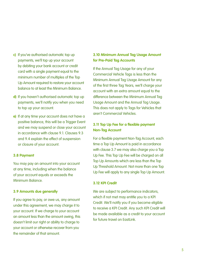- **c)** If you've authorised automatic top up payments, we'll top up your account by debiting your bank account or credit card with a single payment equal to the minimum number of multiples of the Top Up Amount required to restore your account balance to at least the Minimum Balance.
- **d)** If you haven't authorised automatic top up payments, we'll notify you when you need to top up your account.
- **e)** If at any time your account does not have a positive balance, this will be a Trigger Event and we may suspend or close your account in accordance with clause 9.1. Clauses 9.3 and 9.4 explain the effect of suspension or closure of your account.

#### **3.8 Payment**

You may pay an amount into your account at any time, including when the balance of your account equals or exceeds the Minimum Balance.

#### **3.9 Amounts due generally**

If you agree to pay, or owe us, any amount under this agreement, we may charge it to your account. If we charge to your account an amount less than the amount owing, this doesn't limit our right or ability to charge to your account or otherwise recover from you the remainder of that amount.

### **3.10 Minimum Annual Tag Usage Amount for Pre-Paid Tag Accounts**

If the Annual Tag Usage for any of your Commercial Vehicle Tags is less than the Minimum Annual Tag Usage Amount for any of the first three Tag Years, we'll charge your account with an extra amount equal to the difference between the Minimum Annual Tag Usage Amount and the Annual Tag Usage. This does not apply to Tags for Vehicles that aren't Commercial Vehicles.

## **3.11 Top Up Fee for a flexible payment Non-Tag Account**

For a flexible payment Non-Tag Account, each time a Top Up Amount is paid in accordance with clause 3.7 we may also charge you a Top Up Fee. This Top Up Fee will be charged on all Top Up Amounts which are less than the Top Up Threshold Amount. Not more than one Top Up Fee will apply to any single Top Up Amount.

#### **3.12 KPI Credit**

We are subject to performance indicators, which if not met may entitle you to a KPI Credit. We'll notify you if you become eligible to receive a KPI Credit. Any such KPI Credit will be made available as a credit to your account for future travel on EastLink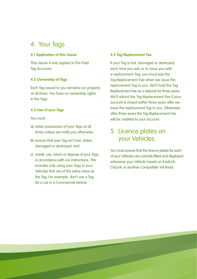# 4 Your Tags

#### **4.1 Application of this clause**

This clause 4 only applies to Pre-Paid Tag Accounts.

### **4.2 Ownership of Tags**

Each Tag issued to you remains our property at all times. You have no ownership rights in the Tags.

#### **4.3 Use of your Tags**

You must:

- **a)** retain possession of your Tags at all times unless we notify you otherwise;
- **b)** ensure that your Tag isn't lost, stolen, damaged or destroyed; and
- **c)** install, use, return or dispose of your Tags in accordance with our instructions. This includes only using your Tags in your Vehicles that are of the same class as the Tag. For example, don't use a Tag for a car in a Commercial Vehicle.

#### **4.4 Tag Replacement Fee**

If your Tag is lost, damaged or destroyed, each time you ask us to issue you with a replacement Tag, you must pay the Tag Replacement Fee when we issue the replacement Tag to you. We'll hold the Tag Replacement Fee as a deposit for three years. We'll refund the Tag Replacement Fee if your account is closed within three years after we issue the replacement Tag to you. Otherwise, after three years the Tag Replacement Fee will be credited to your account.

# 5 Licence plates on your Vehicles

You must ensure that the licence plates for each of your Vehicles are correctly fitted and displayed whenever your Vehicle travels on EastLink. CityLink or another Compatible Toll Road.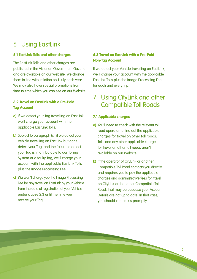# 6 Using EastLink

#### **6.1 EastLink Tolls and other charges**

The EastLink Tolls and other charges are published in the Victorian Government Gazette and are available on our Website. We change them in line with inflation on 1 July each year. We may also have special promotions from time to time which you can see on our Website.

### **6.2 Travel on EastLink with a Pre-Paid Tag Account**

- **a)** If we detect your Tag travelling on EastLink, we'll charge your account with the applicable EastLink Tolls.
- **b)** Subject to paragraph (c), if we detect your Vehicle travelling on EastLink but don't detect your Tag, and the failure to detect your Tag isn't attributable to our Tolling System or a faulty Tag, we'll charge your account with the applicable EastLink Tolls plus the Image Processing Fee.
- **c)** We won't charge you the Image Processing Fee for any travel on EastLink by your Vehicle from the date of reaistration of your Vehicle under clause 2.3 until the time you receive your Tag.

### **6.3 Travel on EastLink with a Pre-Paid Non-Tag Account**

If we detect your Vehicle travelling on EastLink, we'll charge your account with the applicable EastLink Tolls plus the Image Processing Fee for each and every trip.

# 7 Using CityLink and other Compatible Toll Roads

#### **7.1 Applicable charges**

**Service** 

- **a)** You'll need to check with the relevant toll road operator to find out the applicable charges for travel on other toll roads. Tolls and any other applicable charges for travel on other toll roads aren't available on our Website.
- **b)** If the operator of CityLink or another Compatible Toll Road contacts you directly and requires you to pay the applicable charges and administrative fees for travel on CityLink or that other Compatible Toll Road, that may be because your Account Details are not up to date. In that case, you should contact us promptly.

7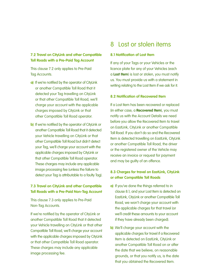### **7.2 Travel on CityLink and other Compatible Toll Roads with a Pre-Paid Tag Account**

This clause 7.2 only applies to Pre-Paid Tag Accounts.

- **a)** If we're notified by the operator of CityLink or another Compatible Toll Road that it detected your Tag travelling on CityLink or that other Compatible Toll Road, we'll charge your account with the applicable charges imposed by CityLink or that other Compatible Toll Road operator.
- **b)** If we're notified by the operator of CityLink or another Compatible Toll Road that it detected your Vehicle travelling on CityLink or that other Compatible Toll Road but didn't detect your Tag, we'll charge your account with the applicable charges imposed by CityLink or that other Compatible Toll Road operator. These charges may include any applicable image processing fee (unless the failure to detect your Tag is attributable to a faulty Tag).

## **7.3 Travel on CityLink and other Compatible Toll Roads with a Pre-Paid Non-Tag Account**

This clause 7.3 only applies to Pre-Paid Non-Tag Accounts.

If we're notified by the operator of CityLink or another Compatible Toll Road that it detected your Vehicle travelling on CityLink or that other Compatible Toll Road, we'll charge your account with the applicable charges imposed by CityLink or that other Compatible Toll Road operator. These charges may include any applicable image processing fee.

# 8 Lost or stolen items

#### **8.1 Notification of Lost Item**

If any of your Tags or your Vehicles or the licence plate for any of your Vehicles (each a **Lost Item**) is lost or stolen, you must notify us. You must provide us with a statement in writing relating to the Lost Item if we ask for it.

#### **8.2 Notification of Recovered Item**

If a Lost Item has been recovered or replaced (in either case, a **Recovered Item**), you must notify us with the Account Details we need before you allow the Recovered Item to travel on EastLink, CityLink or another Compatible Toll Road. If you don't do so and the Recovered Item is detected travelling on EastLink, CityLink or another Compatible Toll Road, the driver or the registered owner of the Vehicle may receive an invoice or request for payment and may be guilty of an offence.

### **8.3 Charges for travel on EastLink, CityLink or other Compatible Toll Roads**

- **a)** If you've done the things referred to in clause 8.1, and your Lost Item is detected on EastLink, CityLink or another Compatible Toll Road, we won't charge your account with the applicable charges for that travel (or we'll credit these amounts to your account if they have already been charged).
- **b)** We'll charge your account with the applicable charges for travel if a Recovered Item is detected on EastLink, CityLink or another Compatible Toll Road on or after the date that we believe, on reasonable grounds, or that you notify us, is the date that you obtained the Recovered Item.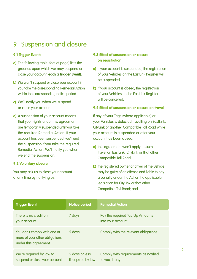# 9 Suspension and closure

#### **9.1 Trigger Events**

- **a)** The following table (foot of page) lists the grounds upon which we may suspend or close your account (each a **Trigger Event**).
- **b)** We won't suspend or close your account if you take the corresponding Remedial Action within the corresponding notice period.
- **c)** We'll notify you when we suspend or close your account.
- **d)** A suspension of your account means that your rights under this agreement are temporarily suspended until you take the required Remedial Action. If your account has been suspended, we'll end the suspension if you take the required Remedial Action. We'll notify you when we end the suspension.

#### **9.2 Voluntary closure**

You may ask us to close your account at any time by notifying us.

### **9.3 Effect of suspension or closure on registration**

- **a)** If your account is suspended, the registration of your Vehicles on the EastLink Register will be suspended.
- **b)** If your account is closed, the registration of your Vehicles on the EastLink Register will be cancelled.

#### **9.4 Effect of suspension or closure on travel**

If any of your Tags (where applicable) or your Vehicles is detected travelling on EastLink, CityLink or another Compatible Toll Road while your account is suspended or after your account has been closed:

- **a)** this agreement won't apply to such travel on EastLink, CityLink or that other Compatible Toll Road:
- **b)** the registered owner or driver of the Vehicle may be guilty of an offence and liable to pay a penalty under the Act or the applicable legislation for CityLink or that other Compatible Toll Road; and

| <b>Trigger Event</b>                                                                   | <b>Notice period</b>                 | <b>Remedial Action</b>                                 |
|----------------------------------------------------------------------------------------|--------------------------------------|--------------------------------------------------------|
| There is no credit on<br>your account                                                  | 7 days                               | Pay the required Top Up Amounts<br>into your account   |
| You don't comply with one or<br>more of your other obligations<br>under this agreement | 5 days                               | Comply with the relevant obligations                   |
| We're required by law to<br>suspend or close your account                              | 5 days or less<br>if required by law | Comply with requirements as notified<br>to you, if any |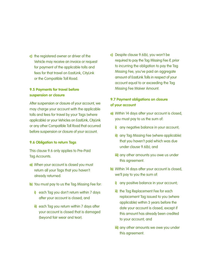**c)** the registered owner or driver of the Vehicle may receive an invoice or request for payment of the applicable tolls and fees for that travel on EastLink, CityLink or the Compatible Toll Road.

### **9.5 Payments for travel before suspension or closure**

After suspension or closure of your account, we may charge your account with the applicable tolls and fees for travel by your Tags (where applicable) or your Vehicles on EastLink, CityLink or any other Compatible Toll Road that occurred before suspension or closure of your account.

#### **9.6 Obligation to return Tags**

This clause 9.6 only applies to Pre-Paid Tag Accounts.

- **a)** When your account is closed you must return all your Tags that you haven't already returned.
- **b)** You must pay to us the Tag Missing Fee for:
	- **i)** each Tag you don't return within 7 days after your account is closed; and
	- **ii)** each Tag you return within 7 days after your account is closed that is damaged (beyond fair wear and tear).

**c)** Despite clause 9.6(b), you won't be required to pay the Tag Missing Fee if, prior to incurring the obligation to pay the Tag Missing Fee, you've paid an aggregate amount of EastLink Tolls in respect of your account equal to or exceeding the Tag Missing Fee Waiver Amount.

### **9.7 Payment obligations on closure of your account**

- **a)** Within 14 days after your account is closed, you must pay to us the sum of:
	- **i)** any negative balance in your account;
	- **ii)** any Tag Missing Fee (where applicable) that you haven't paid which was due under clause 9.6(b); and
	- **iii)** any other amounts you owe us under this agreement.
- **b)** Within 14 days after your account is closed, we'll pay to you the sum of:
	- **i)** any positive balance in your account;
	- **ii)** the Tag Replacement Fee for each replacement Tag issued to you (where applicable) within 3 years before the date your account is closed, except if this amount has already been credited to your account; and
	- **iii)** any other amounts we owe you under this agreement.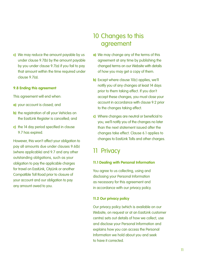**c)** We may reduce the amount payable by us under clause 9.7(b) by the amount payable by you under clause 9.7(a) if you fail to pay that amount within the time required under clause 9.7(a).

#### **9.8 Ending this agreement**

This agreement will end when:

- **a)** your account is closed; and
- **b)** the registration of all your Vehicles on the EastLink Register is cancelled; and
- **c)** the 14 day period specified in clause 9.7 has expired.

However, this won't affect your obligation to pay all amounts due under clauses 9.6(b) (where applicable) and 9.7 and any other outstanding obligations, such as your obligation to pay the applicable charges for travel on EastLink, CityLink or another Compatible Toll Road prior to closure of your account and our obligation to pay any amount owed to you.

# 10 Changes to this agreement

- **a)** We may change any of the terms of this agreement at any time by publishing the changed terms on our Website with details of how you may get a copy of them.
- **b)** Except where clause 10(c) applies, we'll notify you of any changes at least 14 days prior to them taking effect. If you don't accept these changes, you must close your account in accordance with clause 9.2 prior to the changes taking effect.
- **c)** Where changes are neutral or beneficial to you, we'll notify you of the changes no later than the next statement issued after the changes take effect. Clause 6.1 applies to changes to EastLink Tolls and other charges.

# 11 Privacy

#### **11.1 Dealing with Personal Information**

You agree to us collecting, using and disclosing your Personal Information as necessary for this agreement and in accordance with our privacy policy.

#### **11.2 Our privacy policy**

Our privacy policy (which is available on our Website, on request or at an EastLink customer centre) sets out details of how we collect, use and disclose your Personal Information and explains how you can access the Personal Information we hold about you and seek to have it corrected.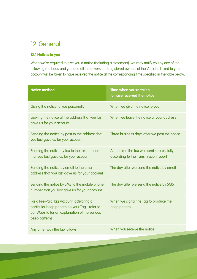# 12 General

### **12.1 Notices to you**

When we're required to give you a notice (including a statement), we may notify you by any of the following methods and you and all the drivers and registered owners of the Vehicles linked to your account will be taken to have received the notice at the corresponding time specified in the table below:

| <b>Notice method</b>                                                                                                                                         | Time when you're taken<br>to have received the notice                              |
|--------------------------------------------------------------------------------------------------------------------------------------------------------------|------------------------------------------------------------------------------------|
| Giving the notice to you personally                                                                                                                          | When we give the notice to you                                                     |
| Leaving the notice at the address that you last<br>gave us for your account                                                                                  | When we leave the notice at your address                                           |
| Sending the notice by post to the address that<br>you last gave us for your account                                                                          | Three business days after we post the notice                                       |
| Sending the notice by fax to the fax number<br>that you last gave us for your account                                                                        | At the time the fax was sent successfully,<br>according to the transmission report |
| Sending the notice by email to the email<br>address that you last gave us for your account                                                                   | The day after we send the notice by email                                          |
| Sending the notice by SMS to the mobile phone<br>number that you last gave us for your account                                                               | The day after we send the notice by SMS                                            |
| For a Pre-Paid Tag Account, activating a<br>particular beep pattern on your Tag - refer to<br>our Website for an explanation of the various<br>beep patterns | When we signal the Tag to produce the<br>beep pattern                              |
| Any other way the law allows                                                                                                                                 | When you receive the notice                                                        |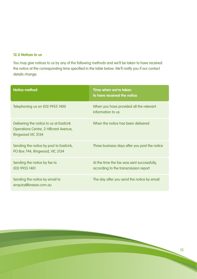### **12.2 Notices to us**

You may give notices to us by any of the following methods and we'll be taken to have received the notice at the corresponding time specified in the table below. We'll notify you if our contact details change.

| <b>Notice method</b>                                                                                   | Time when we're taken<br>to have received the notice                               |
|--------------------------------------------------------------------------------------------------------|------------------------------------------------------------------------------------|
| Telephoning us on (03) 9955 1400                                                                       | When you have provided all the relevant<br>information to us                       |
| Delivering the notice to us at EastLink<br>Operations Centre, 2 Hillcrest Avenue,<br>Ringwood VIC 3134 | When the notice has been delivered                                                 |
| Sending the notice by post to EastLink,<br>PO Box 744, Ringwood, VIC 3134                              | Three business days after you post the notice                                      |
| Sending the notice by fax to<br>(03) 9955 1401                                                         | At the time the fax was sent successfully,<br>according to the transmission report |
| Sending the notice by email to<br>enquiry@breeze.com.au                                                | The day after you send the notice by email                                         |

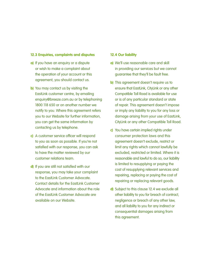#### **12.3 Enquiries, complaints and disputes**

- **a)** If you have an enquiry or a dispute or wish to make a complaint about the operation of your account or this agreement, you should contact us.
- **b)** You may contact us by visiting the EastLink customer centre, by emailing enquiry@breeze.com.au or by telephoning 1800 118 650 or on another number we notify to you. Where this agreement refers you to our Website for further information, you can get the same information by contacting us by telephone.
- **c)** A customer service officer will respond to you as soon as possible. If you're not satisfied with our response, you can ask to have the matter reviewed by our customer relations team.
- **d)** If you are still not satisfied with our response, you may take your complaint to the EastLink Customer Advocate Contact details for the EastLink Customer Advocate and information about the role of the EastLink Customer Advocate are available on our Website.

#### **12.4 Our liability**

- **a)** We'll use reasonable care and skill in providing our services but we cannot guarantee that they'll be fault free.
- **b)** This agreement doesn't require us to ensure that EastLink, CityLink or any other Compatible Toll Road is available for use or is of any particular standard or state of repair. This agreement doesn't impose or imply any liability to you for any loss or damage arising from your use of EastLink, CityLink or any other Compatible Toll Road.
- **c)** You have certain implied rights under consumer protection laws and this agreement doesn't exclude, restrict or limit any rights which cannot lawfully be excluded, restricted or limited. Where it is reasonable and lawful to do so, our liability is limited to resupplying or paying the cost of resupplying relevant services and repairing, replacing or paying the cost of repairing or replacing relevant goods.
- **d)** Subject to this clause 12.4 we exclude all other liability to you for breach of contract, negligence or breach of any other law, and all liability to you for any indirect or consequential damages arising from this agreement.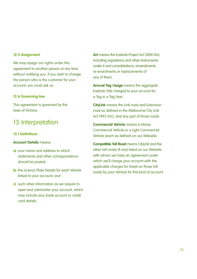#### **12.5 Assignment**

We may assign our rights under this agreement to another person at any time without notifying you. If you wish to change the person who is the customer for your account, you must ask us.

#### **12.6 Governing law**

This agreement is governed by the laws of Victoria.

# 13 Interpretation

#### **13.1 Definitions**

#### **Account Details** means:

- **a)** your name and address to which statements and other correspondence should be posted;
- **b)** the Licence Plate Details for each Vehicle linked to your account; and
- **c)** such other information as we require to open and administer your account, which may include your bank account or credit card details.

**Act** means the EastLink Project Act 2004 (Vic) including regulations and other instruments under it and consolidations, amendments re-enactments or replacements of any of them.

**Annual Tag Usage** means the aggregate EastLink Tolls charged to your account for a Tag in a Tag Year.

**CityLink** means the Link road and Extension road as defined in the Melbourne City Link Act 1995 (Vic), and any part of those roads.

**Commercial Vehicle** means a Heavy Commercial Vehicle or a Light Commercial Vehicle (each as defined on our Website).

**Compatible Toll Road** means CityLink and the other toll roads (if any) listed on our Website with whom we have an agreement under which we'll charge your account with the applicable charges for travel on those toll roads by your Vehicle for this kind of account.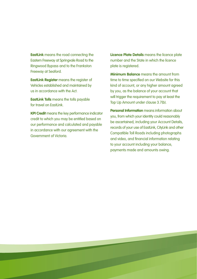**EastLink** means the road connecting the Eastern Freeway at Springvale Road to the Ringwood Bypass and to the Frankston Freeway at Seaford.

**EastLink Register** means the register of Vehicles established and maintained by us in accordance with the Act.

**EastLink Tolls** means the tolls payable for travel on EastLink

**KPI Credit** means the key performance indicator credit to which you may be entitled based on our performance and calculated and payable in accordance with our agreement with the Government of Victoria.

**Licence Plate Details** means the licence plate number and the State in which the licence plate is registered.

**Minimum Balance** means the amount from time to time specified on our Website for this kind of account, or any higher amount agreed by you, as the balance of your account that will trigger the requirement to pay at least the Top Up Amount under clause 3.7(b).

**Personal Information** means information about you, from which your identity could reasonably be ascertained, including your Account Details, records of your use of EastLink, CityLink and other Compatible Toll Roads including photographs and video, and financial information relating to your account including your balance, payments made and amounts owing.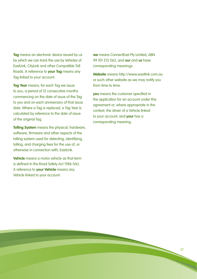**Tag** means an electronic device issued by us by which we can track the use by Vehicles of EastLink, CityLink and other Compatible Toll Roads. A reference to **your Tag** means any Tag linked to your account.

**Tag Year** means, for each Tag we issue to you, a period of 12 consecutive months commencing on the date of issue of the Tag to you and on each anniversary of that issue date. Where a Tag is replaced, a Tag Year is calculated by reference to the date of issue of the original Tag.

**Tolling System** means the physical, hardware, software, firmware and other aspects of the tolling system used for detecting, identifying, tolling, and charging fees for the use of, or otherwise in connection with, EastLink.

**Vehicle** means a motor vehicle as that term is defined in the Road Safety Act 1986 (Vic). A reference to **your Vehicle** means any Vehicle linked to your account.

**we** means ConnectEast Pty Limited, ABN 99 101 213 263, and **our** and **us** have corresponding meanings.

**Website** means http://www.eastlink.com.au or such other website as we may notify you from time to time.

**you** means the customer specified in the application for an account under this agreement or, where appropriate in the context, the driver of a Vehicle linked to your account, and **your** has a corresponding meaning.

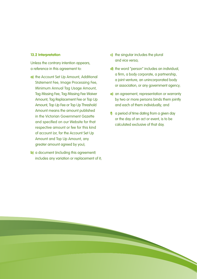#### **13.2 Interpretation**

Unless the contrary intention appears, a reference in this agreement to:

- **a)** the Account Set Up Amount, Additional Statement Fee, Image Processing Fee, Minimum Annual Tag Usage Amount, Tag Missing Fee, Tag Missing Fee Waiver Amount, Tag Replacement Fee or Top Up Amount, Top Up Fee or Top Up Threshold Amount means the amount published in the Victorian Government Gazette and specified on our Website for that respective amount or fee for this kind of account (or, for the Account Set Up Amount and Top Up Amount, any greater amount agreed by you);
- **b)** a document (including this agreement) includes any variation or replacement of it;
- **c)** the singular includes the plural and vice versa;
- **d)** the word "person" includes an individual, a firm, a body corporate, a partnership, a joint venture, an unincorporated body or association, or any government agency;
- **e)** an agreement, representation or warranty by two or more persons binds them jointly and each of them individually; and
- **f)** a period of time dating from a given day or the day of an act or event, is to be calculated exclusive of that day.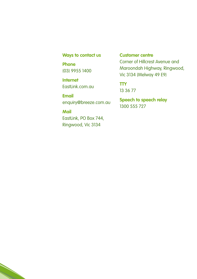# **Ways to contact us**

**Phone** (03) 9955 1400

**Internet** EastLink.com.au

**Email** enquiry@breeze.com.au

**Mail** EastLink, PO Box 744, Ringwood, Vic 3134

# **Customer centre**

Corner of Hillcrest Avenue and Maroondah Highway, Ringwood, Vic 3134 (Melway 49 E9)

**TTY** 13 36 77

**Speech to speech relay** 1300 555 727